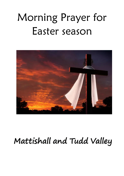# Morning Prayer for Easter season



# Mattishall and Tudd Valley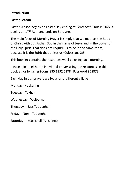#### **Introduction**

#### **Easter Season**

Easter Season begins on Easter Day ending at [Pentecost.](https://www.kencollins.com/holydays/holy-06.php#pentecost) Thus in 2022 it begins on 17<sup>th</sup> April and ends on 5th June.

The main focus of Morning Prayer is simply that we meet as the Body of Christ with our Father God in the name of Jesus and in the power of the Holy Spirit. That does not require us to be in the same room, because it is the Spirit that unites us (Colossians 2:5).

This booklet contains the resources we'll be using each morning.

Please join in, either in individual prayer using the resources in this booklet, or by using Zoom 835 1392 5378 Password 858873

Each day in our prayers we focus on a different village

Monday -Hockering

Tuesday - Yaxham

Wednesday - Welborne

Thursday - East Tuddenham

Friday – North Tuddenham

Saturday— Mattishall (All Saints)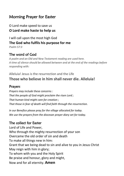### Morning Prayer for Easter

O Lord make speed to save us **O Lord make haste to help us** 

I will call upon the most high God **The God who fulfils his purpose for me** *Psalm 57:3*

#### The word of God

*A psalm and an Old and New Testament reading are used here. A time of silence should be allowed between and at the end of the readings before responding with:*

#### Alleluia! Jesus is the resurrection and the Life **Those who believe in him shall never die. Alleluia!**

#### Prayers

*Prayers may include these concerns : That the people of God might proclaim the risen Lord ; That human kind might care for creation ; That those in fear of death will find faith through the resurrection.*

*In our Benefice please pray for the village allocated for today. We use the prayers from the diocesan prayer diary set for today.*

#### The collect for Easter

Lord of Life and Power, Who through the mighty resurrection of your son Overcame the old order of sin and death To make all things new in him: Grant that we being dead to sin and alive to you in Jesus Christ May reign with him in glory; To whom with you and the Holy Spirit Be praise and honour, glory and might, Now and for all eternity. **Amen**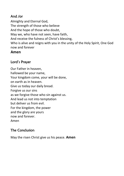#### And /or

Almighty and Eternal God, The strength of those who believe And the hope of those who doubt, May we, who have not seen, have faith, And receive the fulness of Christ's blessing, Who is alive and reigns with you in the unity of the Holy Spirit, One God now and forever

#### **Amen**

#### Lord's Prayer

Our Father in heaven, hallowed be your name, Your kingdom come, your will be done, on earth as in heaven. Give us today our daily bread. Forgive us our sins as we forgive those who sin against us. And lead us not into temptation but deliver us from evil. For the kingdom, the power and the glory are yours now and forever. Amen

#### The Conclusion

May the risen Christ give us his peace. **Amen**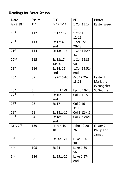## Readings for Easter Season

| Date             | Psalm | $\overline{C}$ | <b>NT</b>    | <b>Notes</b> |
|------------------|-------|----------------|--------------|--------------|
| April 18th       | 111   | Ex 12:1-14     | 1 Cor 15:1-  | Easter week  |
|                  |       |                | 11           |              |
| 19 <sup>th</sup> | 112   | Ex 12:15-36    | 1 Cor 15:    |              |
|                  |       |                | 12-19        |              |
| 20 <sup>th</sup> | 113   | Ex 12:37-      | 1 cor 15:    |              |
|                  |       | end            | $20 - 28$    |              |
| 21 <sup>st</sup> | 114   | Ex 13:1-16     | 1 Cor 15:29- |              |
|                  |       |                | 34           |              |
| 22 <sub>nd</sub> | 115   | Ex 13:17-      | 1 Cor 16:35- |              |
|                  |       | 14:14          | 50           |              |
| 23 <sup>rd</sup> | 116   | Ex 14: 15-     | 1Cor 15:51-  |              |
|                  |       | end            | end          |              |
| 25 <sup>th</sup> | 37    | Isa 62:6-10    | Act 12:25-   | Easter I     |
|                  |       |                | 13:13        | Mark the     |
|                  |       |                |              | eveangelist  |
| 26 <sup>th</sup> | 5     | Josh 1:1-9     | Eph 6:10-20  | St George    |
| 27 <sup>th</sup> | 30    | Ex 16:11-      | Col 2:1-15   |              |
|                  |       | end            |              |              |
| 28 <sup>th</sup> | 28    | Ex 17          | Col 2:16-    |              |
|                  |       |                | 3:11         |              |
| 29 <sup>th</sup> | 61    | Ex 18:1-12     | Col 3:12-4:1 |              |
| 30 <sup>th</sup> | 84    | Ex 18:13-      | Col 4:2-end  |              |
|                  |       | end            |              |              |
| May 2nd          | 139   | Prov 4:10-     | John 12:20-  | Easter 2     |
|                  |       | 18             | 26           | Philip and   |
|                  |       |                |              | James        |
| 3 <sup>rd</sup>  | 98    | Ex 20:1-21     | Luke 1:26-   |              |
|                  |       |                | 38           |              |
| 4 <sup>th</sup>  | 105   | Ex 24          | Luke 1:39-   |              |
|                  |       |                | 56           |              |
| 5 <sup>th</sup>  | 136   | Ex 25:1-22     | Luke 1:57-   |              |
|                  |       |                | end          |              |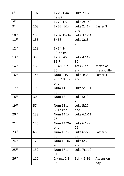| 6 <sup>th</sup>             | 107 | Ex 28:1-4a,        | Luke 2 1-20 |             |
|-----------------------------|-----|--------------------|-------------|-------------|
| 7 <sup>th</sup>             | 110 | 29-38<br>Ex 29:1-9 | Luke 2:1-40 |             |
| gth                         |     |                    |             |             |
|                             | 103 | Ex 32: 1-14        | Luke 2:41-  | Easter 3    |
|                             |     |                    | end         |             |
| 10 <sup>th</sup>            | 139 | Ex 32:15-34        | Luke 3:1-14 |             |
| $11^{\text{th}}$            | 135 | Ex 33              | Luke 3:15-  |             |
|                             |     |                    | 22          |             |
| 12 <sup>th</sup>            | 118 | Ex 34:1-           |             |             |
|                             |     | 10,27-end          |             |             |
| 13 <sup>th</sup>            | 33  | Ex 35:20-          | Luke 4:14-  |             |
|                             |     | 36:7               | 30          |             |
| 14 <sup>th</sup>            | 16  | 1 Sam 2:27-        | Acts 2:37-  | Matthias    |
|                             |     | 35                 | end         | the apostle |
| 16 <sup>th</sup>            |     |                    |             |             |
|                             | 145 | Num 9:15-          | Luke 4:38-  | Easter 4    |
|                             |     | end; 10:33-        | end         |             |
|                             |     | end                |             |             |
| 17 <sup>th</sup>            | 19  | Num 11:1-          | Luke 5:1-11 |             |
|                             |     | 33                 |             |             |
| $18^{\overline{\text{th}}}$ | 30  | <b>Num 12</b>      | Luke 5:12-  |             |
|                             |     |                    | 26          |             |
| 19 <sup>th</sup>            | 57  | Num 13:1-          | Luke 5:27-  |             |
|                             |     | 3, 17-end          | end         |             |
| 20 <sup>th</sup>            | 138 | Num 14:1-          | Luke 6:1-11 |             |
|                             |     | 25                 |             |             |
| 21 <sup>st</sup>            | 146 | Num 14:26-         | Luke 6:12-  |             |
|                             |     | end                | 26          |             |
| 23 <sup>rd</sup>            |     |                    |             |             |
|                             | 65  | Num 16:1-          | Luke 6:27-  | Easter 5    |
|                             |     | 35                 | 38          |             |
| 24 <sup>th</sup>            | 126 | Num 16:36-         | Luke 6:39-  |             |
|                             |     | end                | end         |             |
| 25 <sup>th</sup>            | 132 | Num 17:1-          | Luke 7:1-10 |             |
|                             |     | 11                 |             |             |
| 26 <sup>th</sup>            | 110 | 2 Kings 2:1-       | Eph 4:1-16  | Ascension   |
|                             |     | 15                 |             | day         |